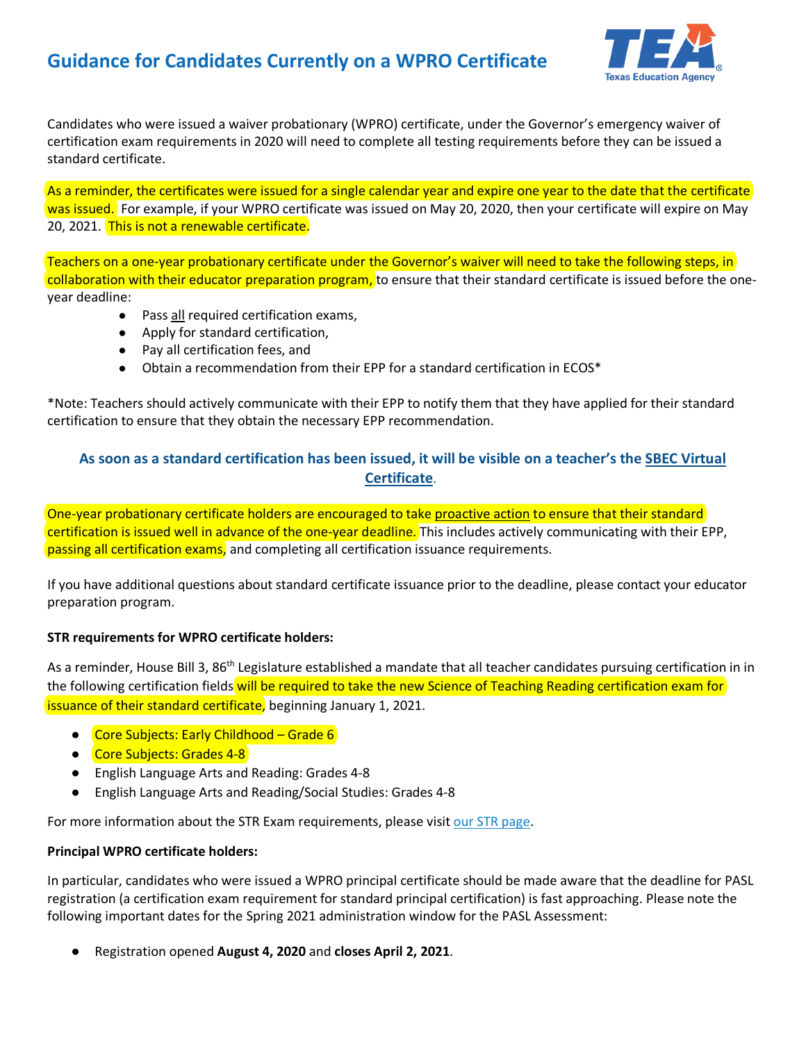## **Guidance for Candidates Currently on a WPRO Certificate**



Candidates who were issued a waiver probationary (WPRO) certificate, under the Governor's emergency waiver of certification exam requirements in 2020 will need to complete all testing requirements before they can be issued a standard certificate.

As a reminder, the certificates were issued for a single calendar year and expire one year to the date that the certificate was issued. For example, if your WPRO certificate was issued on May 20, 2020, then your certificate will expire on May 20, 2021. This is not a renewable certificate.

Teachers on a one-year probationary certificate under the Governor's waiver will need to take the following steps, in collaboration with their educator preparation program, to ensure that their standard certificate is issued before the oneyear deadline:

- Pass all required certification exams,
- Apply for standard certification,
- Pay all certification fees, and
- Obtain a recommendation from their EPP for a standard certification in ECOS\*

\*Note: Teachers should actively communicate with their EPP to notify them that they have applied for their standard certification to ensure that they obtain the necessary EPP recommendation.

## **As soon as a standard certification has been issued, it will be visible on a teacher's the [SBEC Virtual](https://secure.sbec.state.tx.us/SBECONLINE/virtcert.asp)  [Certificate](https://secure.sbec.state.tx.us/SBECONLINE/virtcert.asp)**.

One-year probationary certificate holders are encouraged to take proactive action to ensure that their standard certification is issued well in advance of the one-year deadline. This includes actively communicating with their EPP, passing all certification exams, and completing all certification issuance requirements.

If you have additional questions about standard certificate issuance prior to the deadline, please contact your educator preparation program.

## **STR requirements for WPRO certificate holders:**

As a reminder, House Bill 3, 86<sup>th</sup> Legislature established a mandate that all teacher candidates pursuing certification in in the following certification fields will be required to take the new Science of Teaching Reading certification exam for **issuance of their standard certificate**, beginning January 1, 2021.

- Core Subjects: Early Childhood Grade 6
- Core Subjects: Grades 4-8
- English Language Arts and Reading: Grades 4-8
- English Language Arts and Reading/Social Studies: Grades 4-8

For more information about the STR Exam requirements, please visi[t our STR page.](https://tea.texas.gov/texas-educators/certification/educator-testing/str-teacher-candidates)

## **Principal WPRO certificate holders:**

In particular, candidates who were issued a WPRO principal certificate should be made aware that the deadline for PASL registration (a certification exam requirement for standard principal certification) is fast approaching. Please note the following important dates for the Spring 2021 administration window for the PASL Assessment:

● Registration opened **August 4, 2020** and **closes April 2, 2021**.